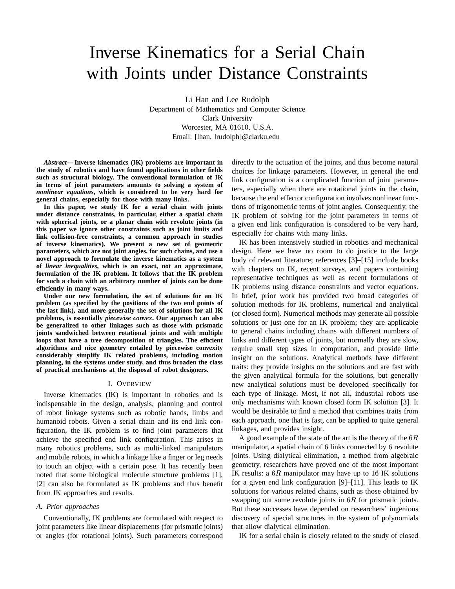# Inverse Kinematics for a Serial Chain with Joints under Distance Constraints

Li Han and Lee Rudolph Department of Mathematics and Computer Science Clark University Worcester, MA 01610, U.S.A. Email: [lhan, lrudolph]@clarku.edu

*Abstract***— Inverse kinematics (IK) problems are important in the study of robotics and have found applications in other fields such as structural biology. The conventional formulation of IK in terms of joint parameters amounts to solving a system of** *nonlinear equations***, which is considered to be very hard for general chains, especially for those with many links.**

**In this paper, we study IK for a serial chain with joints under distance constraints, in particular, either a spatial chain with spherical joints, or a planar chain with revolute joints (in this paper we ignore other constraints such as joint limits and link collision-free constraints, a common approach in studies of inverse kinematics). We present a new set of geometric parameters, which are not joint angles, for such chains, and use a novel approach to formulate the inverse kinematics as a system of** *linear inequalities***, which is an exact, not an approximate, formulation of the IK problem. It follows that the IK problem for such a chain with an arbitrary number of joints can be done efficiently in many ways.**

**Under our new formulation, the set of solutions for an IK problem (as specified by the positions of the two end points of the last link), and more generally the set of solutions for all IK problems, is essentially** *piecewise convex***. Our approach can also be generalized to other linkages such as those with prismatic joints sandwiched between rotational joints and with multiple loops that have a tree decomposition of triangles. The efficient algorithms and nice geometry entailed by piecewise convexity considerably simplify IK related problems, including motion planning, in the systems under study, and thus broaden the class of practical mechanisms at the disposal of robot designers.**

#### I. OVERVIEW

Inverse kinematics (IK) is important in robotics and is indispensable in the design, analysis, planning and control of robot linkage systems such as robotic hands, limbs and humanoid robots. Given a serial chain and its end link configuration, the IK problem is to find joint parameters that achieve the specified end link configuration. This arises in many robotics problems, such as multi-linked manipulators and mobile robots, in which a linkage like a finger or leg needs to touch an object with a certain pose. It has recently been noted that some biological molecule structure problems [1], [2] can also be formulated as IK problems and thus benefit from IK approaches and results.

## *A. Prior approaches*

Conventionally, IK problems are formulated with respect to joint parameters like linear displacements (for prismatic joints) or angles (for rotational joints). Such parameters correspond directly to the actuation of the joints, and thus become natural choices for linkage parameters. However, in general the end link configuration is a complicated function of joint parameters, especially when there are rotational joints in the chain, because the end effector configuration involves nonlinear functions of trigonometric terms of joint angles. Consequently, the IK problem of solving for the joint parameters in terms of a given end link configuration is considered to be very hard, especially for chains with many links.

IK has been intensively studied in robotics and mechanical design. Here we have no room to do justice to the large body of relevant literature; references [3]–[15] include books with chapters on IK, recent surveys, and papers containing representative techniques as well as recent formulations of IK problems using distance constraints and vector equations. In brief, prior work has provided two broad categories of solution methods for IK problems, numerical and analytical (or closed form). Numerical methods may generate all possible solutions or just one for an IK problem; they are applicable to general chains including chains with different numbers of links and different types of joints, but normally they are slow, require small step sizes in computation, and provide little insight on the solutions. Analytical methods have different traits: they provide insights on the solutions and are fast with the given analytical formula for the solutions, but generally new analytical solutions must be developed specifically for each type of linkage. Most, if not all, industrial robots use only mechanisms with known closed form IK solution [3]. It would be desirable to find a method that combines traits from each approach, one that is fast, can be applied to quite general linkages, and provides insight.

A good example of the state of the art is the theory of the  $6R$ manipulator, a spatial chain of 6 links connected by 6 revolute joints. Using dialytical elimination, a method from algebraic geometry, researchers have proved one of the most important IK results: a  $6R$  manipulator may have up to 16 IK solutions for a given end link configuration [9]–[11]. This leads to IK solutions for various related chains, such as those obtained by swapping out some revolute joints in  $6R$  for prismatic joints. But these successes have depended on researchers' ingenious discovery of special structures in the system of polynomials that allow dialytical elimination.

IK for a serial chain is closely related to the study of closed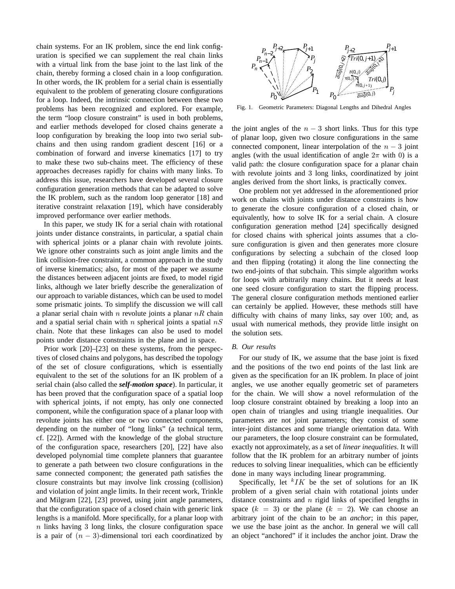chain systems. For an IK problem, since the end link configuration is specified we can supplement the real chain links with a virtual link from the base joint to the last link of the chain, thereby forming a closed chain in a loop configuration. In other words, the IK problem for a serial chain is essentially equivalent to the problem of generating closure configurations for a loop. Indeed, the intrinsic connection between these two problems has been recognized and explored. For example, the term "loop closure constraint" is used in both problems, and earlier methods developed for closed chains generate a loop configuration by breaking the loop into two serial subchains and then using random gradient descent [16] or a combination of forward and inverse kinematics [17] to try to make these two sub-chains meet. The efficiency of these approaches decreases rapidly for chains with many links. To address this issue, researchers have developed several closure configuration generation methods that can be adapted to solve the IK problem, such as the random loop generator [18] and iterative constraint relaxation [19], which have considerably improved performance over earlier methods.

In this paper, we study IK for a serial chain with rotational joints under distance constraints, in particular, a spatial chain with spherical joints or a planar chain with revolute joints. We ignore other constraints such as joint angle limits and the link collision-free constraint, a common approach in the study of inverse kinematics; also, for most of the paper we assume the distances between adjacent joints are fixed, to model rigid links, although we later briefly describe the generalization of our approach to variable distances, which can be used to model some prismatic joints. To simplify the discussion we will call a planar serial chain with n revolute joints a planar  $nR$  chain and a spatial serial chain with n spherical joints a spatial  $nS$ chain. Note that these linkages can also be used to model points under distance constraints in the plane and in space.

Prior work [20]–[23] on these systems, from the perspectives of closed chains and polygons, has described the topology of the set of closure configurations, which is essentially equivalent to the set of the solutions for an IK problem of a serial chain (also called the *self-motion space*). In particular, it has been proved that the configuration space of a spatial loop with spherical joints, if not empty, has only one connected component, while the configuration space of a planar loop with revolute joints has either one or two connected components, depending on the number of "long links" (a technical term, cf. [22]). Armed with the knowledge of the global structure of the configuration space, researchers [20], [22] have also developed polynomial time complete planners that guarantee to generate a path between two closure configurations in the same connected component; the generated path satisfies the closure constraints but may involve link crossing (collision) and violation of joint angle limits. In their recent work, Trinkle and Milgram [22], [23] proved, using joint angle parameters, that the configuration space of a closed chain with generic link lengths is a manifold. More specifically, for a planar loop with  $n$  links having 3 long links, the closure configuration space is a pair of  $(n - 3)$ -dimensional tori each coordinatized by



Fig. 1. Geometric Parameters: Diagonal Lengths and Dihedral Angles

the joint angles of the  $n-3$  short links. Thus for this type of planar loop, given two closure configurations in the same connected component, linear interpolation of the  $n-3$  joint angles (with the usual identification of angle  $2\pi$  with 0) is a valid path: the closure configuration space for a planar chain with revolute joints and 3 long links, coordinatized by joint angles derived from the short links, is practically convex.

One problem not yet addressed in the aforementioned prior work on chains with joints under distance constraints is how to generate the closure configuration of a closed chain, or equivalently, how to solve IK for a serial chain. A closure configuration generation method [24] specifically designed for closed chains with spherical joints assumes that a closure configuration is given and then generates more closure configurations by selecting a subchain of the closed loop and then flipping (rotating) it along the line connecting the two end-joints of that subchain. This simple algorithm works for loops with arbitrarily many chains. But it needs at least one seed closure configuration to start the flipping process. The general closure configuration methods mentioned earlier can certainly be applied. However, these methods still have difficulty with chains of many links, say over 100; and, as usual with numerical methods, they provide little insight on the solution sets.

#### *B. Our results*

For our study of IK, we assume that the base joint is fixed and the positions of the two end points of the last link are given as the specification for an IK problem. In place of joint angles, we use another equally geometric set of parameters for the chain. We will show a novel reformulation of the loop closure constraint obtained by breaking a loop into an open chain of triangles and using triangle inequalities. Our parameters are not joint parameters; they consist of some inter-joint distances and some triangle orientation data. With our parameters, the loop closure constraint can be formulated, exactly not approximately, as a set of *linear inequalities*. It will follow that the IK problem for an arbitrary number of joints reduces to solving linear inequalities, which can be efficiently done in many ways including linear programming.

Specifically, let  $kTK$  be the set of solutions for an IK problem of a given serial chain with rotational joints under distance constraints and  $n$  rigid links of specified lengths in space  $(k = 3)$  or the plane  $(k = 2)$ . We can choose an arbitrary joint of the chain to be an *anchor*; in this paper, we use the base joint as the anchor. In general we will call an object "anchored" if it includes the anchor joint. Draw the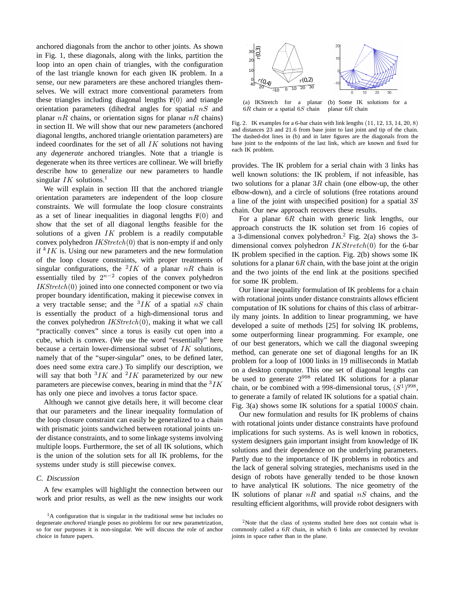anchored diagonals from the anchor to other joints. As shown in Fig. 1, these diagonals, along with the links, partition the loop into an open chain of triangles, with the configuration of the last triangle known for each given IK problem. In a sense, our new parameters are these anchored triangles themselves. We will extract more conventional parameters from these triangles including diagonal lengths  $\bar{r}(0)$  and triangle orientation parameters (dihedral angles for spatial  $nS$  and planar  $nR$  chains, or orientation signs for planar  $nR$  chains) in section II. We will show that our new parameters (anchored diagonal lengths, anchored triangle orientation parameters) are indeed coordinates for the set of all  $IK$  solutions not having any *degenerate* anchored triangles. Note that a triangle is degenerate when its three vertices are collinear. We will briefly describe how to generalize our new parameters to handle singular  $IK$  solutions.<sup>1</sup>

We will explain in section III that the anchored triangle orientation parameters are independent of the loop closure constraints. We will formulate the loop closure constraints as a set of linear inequalities in diagonal lengths  $\bar{r}(0)$  and show that the set of all diagonal lengths feasible for the solutions of a given  $IK$  problem is a readily computable convex polyhedron  $IKStretch(0)$  that is non-empty if and only if  $kIK$  is. Using our new parameters and the new formulation of the loop closure constraints, with proper treatments of singular configurations, the <sup>2</sup>*IK* of a planar  $nR$  chain is essentially tiled by  $2^{n-2}$  copies of the convex polyhedron  $IKStretch(0)$  joined into one connected component or two via proper boundary identification, making it piecewise convex in a very tractable sense; and the  ${}^{3}IK$  of a spatial  $nS$  chain is essentially the product of a high-dimensional torus and the convex polyhedron  $IKStretch(0)$ , making it what we call "practically convex" since a torus is easily cut open into a cube, which is convex. (We use the word "essentially" here because a certain lower-dimensional subset of IK solutions, namely that of the "super-singular" ones, to be defined later, does need some extra care.) To simplify our description, we will say that both  ${}^{3}IK$  and  ${}^{2}IK$  parameterized by our new parameters are piecewise convex, bearing in mind that the  ${}^{3}IK$ has only one piece and involves a torus factor space.

Although we cannot give details here, it will become clear that our parameters and the linear inequality formulation of the loop closure constraint can easily be generalized to a chain with prismatic joints sandwiched between rotational joints under distance constraints, and to some linkage systems involving multiple loops. Furthermore, the set of all IK solutions, which is the union of the solution sets for all IK problems, for the systems under study is still piecewise convex.

## *C. Discussion*

A few examples will highlight the connection between our work and prior results, as well as the new insights our work



(a) IKStretch for a planar  $6R$  chain or a spatial  $6S$  chain (b) Some IK solutions for a planar 6R chain

Fig. 2. IK examples for a 6-bar chain with link lengths (11, 12, 13, 14, 20, 8) and distances 23 and 21.6 from base joint to last joint and tip of the chain. The dashed-dot lines in (b) and in later figures are the diagonals from the base joint to the endpoints of the last link, which are known and fixed for each IK problem.

provides. The IK problem for a serial chain with 3 links has well known solutions: the IK problem, if not infeasible, has two solutions for a planar  $3R$  chain (one elbow-up, the other elbow-down), and a circle of solutions (free rotations around a line of the joint with unspecified position) for a spatial  $3S$ chain. Our new approach recovers these results.

For a planar 6R chain with generic link lengths, our approach constructs the IK solution set from 16 copies of a 3-dimensional convex polyhedron.<sup>2</sup> Fig. 2(a) shows the 3 dimensional convex polyhedron  $IKStretch(0)$  for the 6-bar IK problem specified in the caption. Fig. 2(b) shows some IK solutions for a planar  $6R$  chain, with the base joint at the origin and the two joints of the end link at the positions specified for some IK problem.

Our linear inequality formulation of IK problems for a chain with rotational joints under distance constraints allows efficient computation of IK solutions for chains of this class of arbitrarily many joints. In addition to linear programming, we have developed a suite of methods [25] for solving IK problems, some outperforming linear programming. For example, one of our best generators, which we call the diagonal sweeping method, can generate one set of diagonal lengths for an IK problem for a loop of 1000 links in 19 milliseconds in Matlab on a desktop computer. This one set of diagonal lengths can be used to generate  $2^{998}$  related IK solutions for a planar chain, or be combined with a 998-dimensional torus,  $(S^1)^{998}$ , to generate a family of related IK solutions for a spatial chain. Fig. 3(a) shows some IK solutions for a spatial  $1000S$  chain.

Our new formulation and results for IK problems of chains with rotational joints under distance constraints have profound implications for such systems. As is well known in robotics, system designers gain important insight from knowledge of IK solutions and their dependence on the underlying parameters. Partly due to the importance of IK problems in robotics and the lack of general solving strategies, mechanisms used in the design of robots have generally tended to be those known to have analytical IK solutions. The nice geometry of the IK solutions of planar  $nR$  and spatial  $nS$  chains, and the resulting efficient algorithms, will provide robot designers with

<sup>&</sup>lt;sup>1</sup>A configuration that is singular in the traditional sense but includes no degenerate *anchored* triangle poses no problems for our new parametrization, so for our purposes it is non-singular. We will discuss the role of anchor choice in future papers.

 $2$ Note that the class of systems studied here does not contain what is commonly called a  $6R$  chain, in which  $6$  links are connected by revolute joints in space rather than in the plane.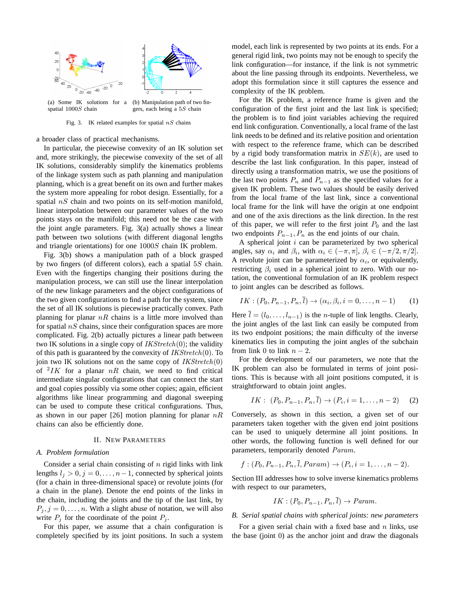

(a) Some IK solutions for a spatial 1000S chain (b) Manipulation path of two fingers, each being a 5S chain

Fig. 3. IK related examples for spatial  $nS$  chains

a broader class of practical mechanisms.

In particular, the piecewise convexity of an IK solution set and, more strikingly, the piecewise convexity of the set of all IK solutions, considerably simplify the kinematics problems of the linkage system such as path planning and manipulation planning, which is a great benefit on its own and further makes the system more appealing for robot design. Essentially, for a spatial  $nS$  chain and two points on its self-motion manifold, linear interpolation between our parameter values of the two points stays on the manifold; this need not be the case with the joint angle parameters. Fig. 3(a) actually shows a linear path between two solutions (with different diagonal lengths and triangle orientations) for one 1000S chain IK problem.

Fig. 3(b) shows a manipulation path of a block grasped by two fingers (of different colors), each a spatial 5S chain. Even with the fingertips changing their positions during the manipulation process, we can still use the linear interpolation of the new linkage parameters and the object configurations of the two given configurations to find a path for the system, since the set of all IK solutions is piecewise practically convex. Path planning for planar  $nR$  chains is a little more involved than for spatial  $nS$  chains, since their configuration spaces are more complicated. Fig. 2(b) actually pictures a linear path between two IK solutions in a single copy of  $IKStretch(0)$ ; the validity of this path is guaranteed by the convexity of  $IKStretch(0)$ . To join two IK solutions not on the same copy of  $IKStretch(0)$ of  $^2$ IK for a planar nR chain, we need to find critical intermediate singular configurations that can connect the start and goal copies possibly via some other copies; again, efficient algorithms like linear programming and diagonal sweeping can be used to compute these critical configurations. Thus, as shown in our paper [26] motion planning for planar  $nR$ chains can also be efficiently done.

#### II. NEW PARAMETERS

## *A. Problem formulation*

Consider a serial chain consisting of  $n$  rigid links with link lengths  $l_j > 0, j = 0, \ldots, n-1$ , connected by spherical joints (for a chain in three-dimensional space) or revolute joints (for a chain in the plane). Denote the end points of the links in the chain, including the joints and the tip of the last link, by  $P_j$ ,  $j = 0, \ldots, n$ . With a slight abuse of notation, we will also write  $P_j$  for the coordinate of the point  $P_j$ .

For this paper, we assume that a chain configuration is completely specified by its joint positions. In such a system model, each link is represented by two points at its ends. For a general rigid link, two points may not be enough to specify the link configuration—for instance, if the link is not symmetric about the line passing through its endpoints. Nevertheless, we adopt this formulation since it still captures the essence and complexity of the IK problem.

For the IK problem, a reference frame is given and the configuration of the first joint and the last link is specified; the problem is to find joint variables achieving the required end link configuration. Conventionally, a local frame of the last link needs to be defined and its relative position and orientation with respect to the reference frame, which can be described by a rigid body transformation matrix in  $SE(k)$ , are used to describe the last link configuration. In this paper, instead of directly using a transformation matrix, we use the positions of the last two points  $P_n$  and  $P_{n-1}$  as the specified values for a given IK problem. These two values should be easily derived from the local frame of the last link, since a conventional local frame for the link will have the origin at one endpoint and one of the axis directions as the link direction. In the rest of this paper, we will refer to the first joint  $P_0$  and the last two endpoints  $P_{n-1}$ ,  $P_n$  as the end joints of our chain.

A spherical joint  $i$  can be parameterized by two spherical angles, say  $\alpha_i$  and  $\beta_i$ , with  $\alpha_i \in (-\pi, \pi]$ ,  $\beta_i \in (-\pi/2, \pi/2]$ . A revolute joint can be parameterized by  $\alpha_i$ , or equivalently, restricting  $\beta_i$  used in a spherical joint to zero. With our notation, the conventional formulation of an IK problem respect to joint angles can be described as follows.

$$
IK: (P_0, P_{n-1}, P_n, l) \to (\alpha_i, \beta_i, i = 0, \dots, n-1)
$$
 (1)

Here  $\bar{l} = (l_0, \ldots, l_{n-1})$  is the *n*-tuple of link lengths. Clearly, the joint angles of the last link can easily be computed from its two endpoint positions; the main difficulty of the inverse kinematics lies in computing the joint angles of the subchain from link 0 to link  $n-2$ .

For the development of our parameters, we note that the IK problem can also be formulated in terms of joint positions. This is because with all joint positions computed, it is straightforward to obtain joint angles.

$$
IK: (P_0, P_{n-1}, P_n, \bar{l}) \to (P_i, i = 1, \dots, n-2) \tag{2}
$$

Conversely, as shown in this section, a given set of our parameters taken together with the given end joint positions can be used to uniquely determine all joint positions. In other words, the following function is well defined for our parameters, temporarily denoted Param.

$$
f:(P_0, P_{n-1}, P_n, \bar{l}, Param) \to (P_i, i = 1, ..., n-2).
$$

Section III addresses how to solve inverse kinematics problems with respect to our parameters,

$$
IK: (P_0, P_{n-1}, P_n, \overline{l}) \rightarrow Param.
$$

## *B. Serial spatial chains with spherical joints: new parameters*

For a given serial chain with a fixed base and  $n$  links, use the base (joint 0) as the anchor joint and draw the diagonals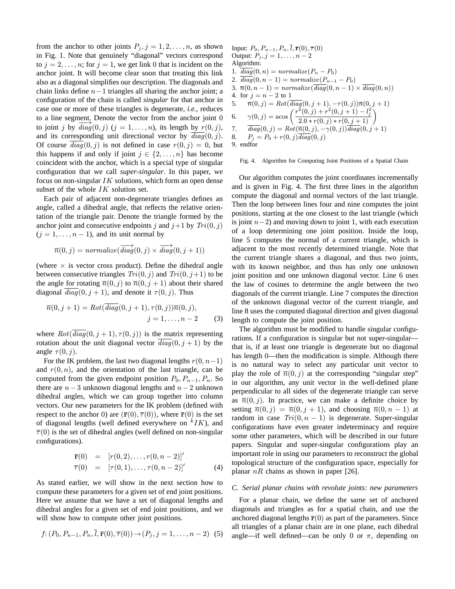from the anchor to other joints  $P_j$ ,  $j = 1, 2, ..., n$ , as shown in Fig. 1. Note that genuinely "diagonal" vectors correspond to  $j = 2, \ldots, n$ ; for  $j = 1$ , we get link 0 that is incident on the anchor joint. It will become clear soon that treating this link also as a diagonal simplifies our description. The diagonals and chain links define  $n-1$  triangles all sharing the anchor joint; a configuration of the chain is called *singular* for that anchor in case one or more of these triangles is degenerate, *i.e.*, reduces to a line segment. Denote the vector from the anchor joint 0 to a line segment, Before the vector from the anchor joint of to joint j by  $diag(0, j)$   $(j = 1, ..., n)$ , its length by  $r(0, j)$ , and its corresponding unit directional vector by  $\overline{diag}(0, j)$ . Of course  $diag(0, j)$  is not defined in case  $r(0, j) = 0$ , but this happens if and only if joint  $j \in \{2, \ldots, n\}$  has become coincident with the anchor, which is a special type of singular configuration that we call *super-singular*. In this paper, we focus on non-singular  $IK$  solutions, which form an open dense subset of the whole  $IK$  solution set.

Each pair of adjacent non-degenerate triangles defines an angle, called a dihedral angle, that reflects the relative orientation of the triangle pair. Denote the triangle formed by the anchor joint and consecutive endpoints j and  $j+1$  by  $Tri(0, j)$  $(j = 1, \ldots, n - 1)$ , and its unit normal by

$$
\overrightarrow{n}(0,j) = normalize(\overrightarrow{diag}(0,j) \times \overrightarrow{diag}(0,j+1))
$$

(where  $\times$  is vector cross product). Define the dihedral angle between consecutive triangles  $Tri(0, j)$  and  $Tri(0, j+1)$  to be the angle for rotating  $\overline{n}(0, j)$  to  $\overline{n}(0, j + 1)$  about their shared diagonal  $diag(0, j + 1)$ , and denote it  $\tau(0, j)$ . Thus

$$
\overline{n}(0, j + 1) = Rot(\overline{diag}(0, j + 1), \tau(0, j))\overline{n}(0, j), \nj = 1, ..., n - 2
$$
\n(3)

where  $Rot(\overline{diag}(0, j + 1), \tau(0, j))$  is the matrix representing rotation about the unit diagonal vector  $\overline{diag}(0, j + 1)$  by the angle  $\tau(0, j)$ .

For the IK problem, the last two diagonal lengths  $r(0, n-1)$ and  $r(0, n)$ , and the orientation of the last triangle, can be computed from the given endpoint position  $P_0$ ,  $P_{n-1}$ ,  $P_n$ . So there are  $n-3$  unknown diagonal lengths and  $n-2$  unknown dihedral angles, which we can group together into column vectors. Our new parameters for the IK problem (defined with respect to the anchor 0) are  $(\bar{\mathbf{r}}(0), \bar{\tau}(0))$ , where  $\bar{\mathbf{r}}(0)$  is the set of diagonal lengths (well defined everywhere on  $kIK$ ), and  $\overline{\tau}(0)$  is the set of dihedral angles (well defined on non-singular configurations).

$$
\overline{\mathbf{r}}(0) = [r(0,2), \dots, r(0, n-2)]'
$$
  
\n
$$
\overline{\tau}(0) = [\tau(0,1), \dots, \tau(0, n-2)]'
$$
\n(4)

As stated earlier, we will show in the next section how to compute these parameters for a given set of end joint positions. Here we assume that we have a set of diagonal lengths and dihedral angles for a given set of end joint positions, and we will show how to compute other joint positions.

$$
f: (P_0, P_{n-1}, P_n, \bar{l}, \bar{r}(0), \bar{\tau}(0)) \to (P_j, j = 1, \dots, n-2)
$$
 (5)

Input: 
$$
P_0, P_{n-1}, P_n, \bar{l}, \bar{r}(0), \bar{\tau}(0)
$$
  
\nOutput:  $P_j, j = 1, ..., n-2$   
\nAlgorithm:  
\n1.  $\overline{diag}(0, n) = normalize(P_n - P_0)$   
\n2.  $\overline{diag}(0, n-1) = normalize(P_{n-1} - P_0)$   
\n3.  $\bar{n}(0, n-1) = normalize(\overline{diag}(0, n-1) \times \overline{diag}(0, n))$   
\n4. for  $j = n-2$  to 1  
\n5.  $\bar{n}(0, j) = Rot(\overline{diag}(0, j+1), -\tau(0, j))\bar{n}(0, j+1)$   
\n6.  $\gamma(0, j) =$  $\alpha \cos\left(\frac{r^2(0, j) + r^2(0, j+1) - l_j^2}{2.0 * r(0, j) * r(0, j+1)}\right)$   
\n7.  $\overline{diag}(0, j) = Rot(\overline{n}(0, j), -\gamma(0, j))\overline{diag}(0, j+1)$   
\n8.  $P_j = P_0 + r(0, j)\overline{diag}(0, j)$   
\n9. endfor

#### Fig. 4. Algorithm for Computing Joint Positions of a Spatial Chain

Our algorithm computes the joint coordinates incrementally and is given in Fig. 4. The first three lines in the algorithm compute the diagonal and normal vectors of the last triangle. Then the loop between lines four and nine computes the joint positions, starting at the one closest to the last triangle (which is joint  $n-2$ ) and moving down to joint 1, with each execution of a loop determining one joint position. Inside the loop, line 5 computes the normal of a current triangle, which is adjacent to the most recently determined triangle. Note that the current triangle shares a diagonal, and thus two joints, with its known neighbor, and thus has only one unknown joint position and one unknown diagonal vector. Line 6 uses the law of cosines to determine the angle between the two diagonals of the current triangle. Line 7 computes the direction of the unknown diagonal vector of the current triangle, and line 8 uses the computed diagonal direction and given diagonal length to compute the joint position.

The algorithm must be modified to handle singular configurations. If a configuration is singular but not super-singular that is, if at least one triangle is degenerate but no diagonal has length 0—then the modification is simple. Although there is no natural way to select any particular unit vector to play the role of  $\overline{n}(0, j)$  at the corresponding "singular step" in our algorithm, any unit vector in the well-defined plane perpendicular to all sides of the degenerate triangle can serve as  $\overline{n}(0, j)$ . In practice, we can make a definite choice by setting  $\overline{n}(0, j) = \overline{n}(0, j + 1)$ , and choosing  $\overline{n}(0, n - 1)$  at random in case  $Tri(0, n - 1)$  is degenerate. Super-singular configurations have even greater indeterminacy and require some other parameters, which will be described in our future papers. Singular and super-singular configurations play an important role in using our parameters to reconstruct the global topological structure of the configuration space, especially for planar  $nR$  chains as shown in paper [26].

#### *C. Serial planar chains with revolute joints: new parameters*

For a planar chain, we define the same set of anchored diagonals and triangles as for a spatial chain, and use the anchored diagonal lengths  $\bar{\mathbf{r}}(0)$  as part of the parameters. Since all triangles of a planar chain are in one plane, each dihedral angle—if well defined—can be only 0 or  $\pi$ , depending on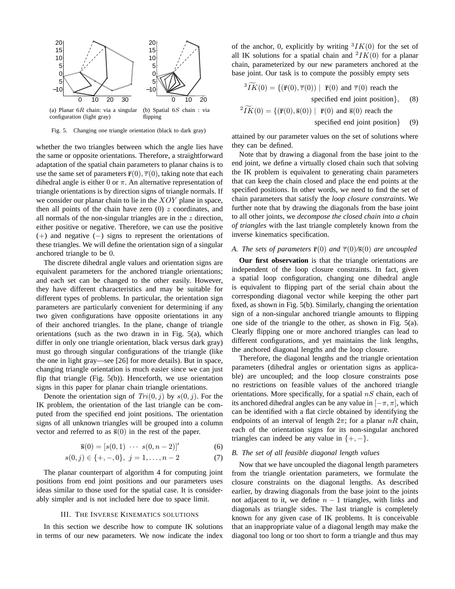

Fig. 5. Changing one triangle orientation (black to dark gray)

whether the two triangles between which the angle lies have the same or opposite orientations. Therefore, a straightforward adaptation of the spatial chain parameters to planar chains is to use the same set of parameters  $\bar{\mathbf{r}}(0), \bar{\tau}(0)$ , taking note that each dihedral angle is either 0 or  $\pi$ . An alternative representation of triangle orientations is by direction signs of triangle normals. If we consider our planar chain to lie in the XOY plane in space, then all points of the chain have zero  $(0)$  z coordinates, and all normals of the non-singular triangles are in the  $z$  direction, either positive or negative. Therefore, we can use the positive (+) and negative (−) signs to represent the orientations of these triangles. We will define the orientation sign of a singular anchored triangle to be 0.

The discrete dihedral angle values and orientation signs are equivalent parameters for the anchored triangle orientations; and each set can be changed to the other easily. However, they have different characteristics and may be suitable for different types of problems. In particular, the orientation sign parameters are particularly convenient for determining if any two given configurations have opposite orientations in any of their anchored triangles. In the plane, change of triangle orientations (such as the two drawn in in Fig. 5(a), which differ in only one triangle orientation, black versus dark gray) must go through singular configurations of the triangle (like the one in light gray—see [26] for more details). But in space, changing triangle orientation is much easier since we can just flip that triangle (Fig.  $5(b)$ ). Henceforth, we use orientation signs in this paper for planar chain triangle orientations.

Denote the orientation sign of  $Tri(0, j)$  by  $s(0, j)$ . For the IK problem, the orientation of the last triangle can be computed from the specified end joint positions. The orientation signs of all unknown triangles will be grouped into a column vector and referred to as  $\bar{s}(0)$  in the rest of the paper.

$$
\bar{\mathbf{s}}(0) = [s(0,1) \ \cdots \ s(0,n-2)]'
$$
 (6)

$$
s(0,j) \in \{+, -, 0\}, \ j = 1, \dots, n-2 \tag{7}
$$

The planar counterpart of algorithm 4 for computing joint positions from end joint positions and our parameters uses ideas similar to those used for the spatial case. It is considerably simpler and is not included here due to space limit.

#### III. THE INVERSE KINEMATICS SOLUTIONS

In this section we describe how to compute IK solutions in terms of our new parameters. We now indicate the index

of the anchor, 0, explicitly by writing  ${}^{3}IK(0)$  for the set of all IK solutions for a spatial chain and  $^2IK(0)$  for a planar chain, parameterized by our new parameters anchored at the base joint. Our task is to compute the possibly empty sets

$$
{}^{3}\widetilde{IK}(0) = \{(\overline{\mathbf{r}}(0), \overline{\tau}(0)) \mid \overline{\mathbf{r}}(0) \text{ and } \overline{\tau}(0) \text{ reach the specified end joint position}\},
$$
(8)  

$$
{}^{2}\widetilde{IK}(0) = \{(\overline{\mathbf{r}}(0), \overline{\mathbf{s}}(0)) \mid \overline{\mathbf{r}}(0) \text{ and } \overline{\mathbf{s}}(0) \text{ reach the}
$$

specified end joint position { (9)

attained by our parameter values on the set of solutions where they can be defined.

Note that by drawing a diagonal from the base joint to the end joint, we define a virtually closed chain such that solving the IK problem is equivalent to generating chain parameters that can keep the chain closed and place the end points at the specified positions. In other words, we need to find the set of chain parameters that satisfy the *loop closure constraints*. We further note that by drawing the diagonals from the base joint to all other joints, we *decompose the closed chain into a chain of triangles* with the last triangle completely known from the inverse kinematics specification.

## *A. The sets of parameters*  $\bar{\mathbf{r}}(0)$  *and*  $\bar{\tau}(0)/\bar{\mathbf{s}}(0)$  *are uncoupled*

**Our first observation** is that the triangle orientations are independent of the loop closure constraints. In fact, given a spatial loop configuration, changing one dihedral angle is equivalent to flipping part of the serial chain about the corresponding diagonal vector while keeping the other part fixed, as shown in Fig. 5(b). Similarly, changing the orientation sign of a non-singular anchored triangle amounts to flipping one side of the triangle to the other, as shown in Fig. 5(a). Clearly flipping one or more anchored triangles can lead to different configurations, and yet maintains the link lengths, the anchored diagonal lengths and the loop closure.

Therefore, the diagonal lengths and the triangle orientation parameters (dihedral angles or orientation signs as applicable) are uncoupled; and the loop closure constraints pose no restrictions on feasible values of the anchored triangle orientations. More specifically, for a spatial  $nS$  chain, each of its anchored dihedral angles can be any value in  $[-\pi, \pi]$ , which can be identified with a flat circle obtained by identifying the endpoints of an interval of length  $2\pi$ ; for a planar  $nR$  chain, each of the orientation signs for its non-singular anchored triangles can indeed be any value in  $\{+, -\}.$ 

## *B. The set of all feasible diagonal length values*

Now that we have uncoupled the diagonal length parameters from the triangle orientation parameters, we formulate the closure constraints on the diagonal lengths. As described earlier, by drawing diagonals from the base joint to the joints not adjacent to it, we define  $n - 1$  triangles, with links and diagonals as triangle sides. The last triangle is completely known for any given case of IK problems. It is conceivable that an inappropriate value of a diagonal length may make the diagonal too long or too short to form a triangle and thus may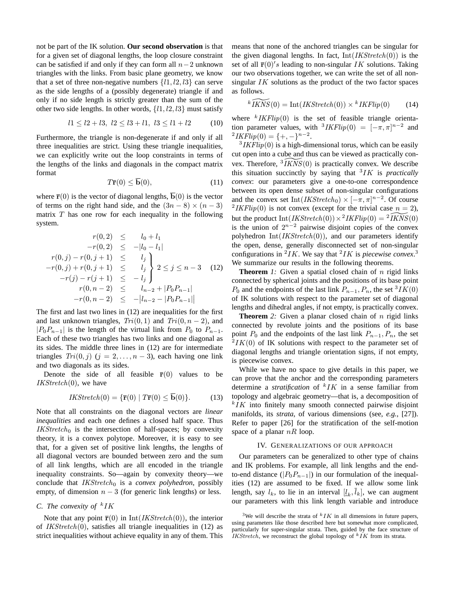not be part of the IK solution. **Our second observation** is that for a given set of diagonal lengths, the loop closure constraint can be satisfied if and only if they can form all  $n-2$  unknown triangles with the links. From basic plane geometry, we know that a set of three non-negative numbers  $\{l1, l2, l3\}$  can serve as the side lengths of a (possibly degenerate) triangle if and only if no side length is strictly greater than the sum of the other two side lengths. In other words,  $\{l1, l2, l3\}$  must satisfy

$$
l1 \le l2 + l3, l2 \le l3 + l1, l3 \le l1 + l2
$$
 (10)

Furthermore, the triangle is non-degenerate if and only if all three inequalities are strict. Using these triangle inequalities, we can explicitly write out the loop constraints in terms of the lengths of the links and diagonals in the compact matrix format

$$
T\bar{\mathbf{r}}(0) \le \bar{\mathbf{b}}(0),\tag{11}
$$

where  $\bar{\mathbf{r}}(0)$  is the vector of diagonal lengths,  $\bar{\mathbf{b}}(0)$  is the vector of terms on the right hand side, and the  $(3n - 8) \times (n - 3)$ matrix  $T$  has one row for each inequality in the following system.

$$
r(0,2) \leq l_0 + l_1
$$
  
\n
$$
-r(0,2) \leq -|l_0 - l_1|
$$
  
\n
$$
r(0,j) - r(0,j+1) \leq l_j
$$
  
\n
$$
-r(0,j) + r(0,j+1) \leq l_j
$$
  
\n
$$
-r(j) - r(j+1) \leq -l_j
$$
  
\n
$$
r(0, n-2) \leq l_{n-2} + |P_0 P_{n-1}|
$$
  
\n
$$
-r(0, n-2) \leq -|l_{n-2} - |P_0 P_{n-1}|
$$

The first and last two lines in (12) are inequalities for the first and last unknown triangles,  $Tri(0, 1)$  and  $Tri(0, n - 2)$ , and  $|P_0P_{n-1}|$  is the length of the virtual link from  $P_0$  to  $P_{n-1}$ . Each of these two triangles has two links and one diagonal as its sides. The middle three lines in (12) are for intermediate triangles  $Tri(0, j)$   $(j = 2, ..., n - 3)$ , each having one link and two diagonals as its sides.

Denote the side of all feasible  $\bar{r}(0)$  values to be  $IKStretch(0)$ , we have

$$
IKStretch(0) = {\overline{\mathbf{r}}(0) | T\overline{\mathbf{r}}(0) \le \overline{\mathbf{b}}(0)}.
$$
 (13)

Note that all constraints on the diagonal vectors are *linear inequalities* and each one defines a closed half space. Thus  $IKStretch_0$  is the intersection of half-spaces; by convexity theory, it is a convex polytope. Moreover, it is easy to see that, for a given set of positive link lengths, the lengths of all diagonal vectors are bounded between zero and the sum of all link lengths, which are all encoded in the triangle inequality constraints. So—again by convexity theory—we conclude that *IKStretch*<sup>0</sup> is a *convex polyhedron*, possibly empty, of dimension  $n - 3$  (for generic link lengths) or less.

# *C.* The convexity of <sup>k</sup>IK

Note that any point  $\bar{\mathbf{r}}(0)$  in  $\text{Int}(IKStretch(0))$ , the interior of  $IKStretch(0)$ , satisfies all triangle inequalities in (12) as strict inequalities without achieve equality in any of them. This means that none of the anchored triangles can be singular for the given diagonal lengths. In fact,  $Int(IKStre  $tch(0)$ )$  is the set of all  $\bar{\mathbf{r}}(0)'s$  leading to non-singular IK solutions. Taking our two observations together, we can write the set of all nonsingular  $IK$  solutions as the product of the two factor spaces as follows.

$$
^{k}\widetilde{IKNS}(0) = Int(IKStretch(0)) \times ^{k}IKFlip(0)
$$
 (14)

where  $k$  IKFlip(0) is the set of feasible triangle orientation parameter values, with  ${}^{3}IKFlip(0) = [-\pi, \pi]^{n-2}$  and  $^{2}IKFlip(0) = \{+, -\}^{n-2}.$ 

 $3IKFlip(0)$  is a high-dimensional torus, which can be easily cut open into a cube and thus can be viewed as practically convex. Therefore,  $\sqrt[3]{KNS(0)}$  is practically convex. We describe this situation succinctly by saying that <sup>3</sup> IK is *practically convex*: our parameters give a one-to-one correspondence between its open dense subset of non-singular configurations and the convex set  $Int(IKStretch_0) \times [-\pi, \pi]^{n-2}$ . Of course <sup>2</sup>IKFlip(0) is not convex (except for the trivial case  $n = 2$ ), but the product  $Int(IKStretch(0)) \times 2IKFlip(0) = 2 \widetilde{IKNS}(0)$ is the union of  $2^{n-2}$  pairwise disjoint copies of the convex polyhedron Int $(IKStretch(0))$ , and our parameters identify the open, dense, generally disconnected set of non-singular configurations in <sup>2</sup>*IK*. We say that <sup>2</sup>*IK* is *piecewise convex*.<sup>3</sup> We summarize our results in the following theorems.

**Theorem** *1:* Given a spatial closed chain of *n* rigid links connected by spherical joints and the positions of its base point  $P_0$  and the endpoints of the last link  $P_{n-1}$ ,  $P_n$ , the set  ${}^3IK(0)$ of IK solutions with respect to the parameter set of diagonal lengths and dihedral angles, if not empty, is practically convex.

**Theorem** 2: Given a planar closed chain of n rigid links connected by revolute joints and the positions of its base point  $P_0$  and the endpoints of the last link  $P_{n-1}, P_n$ , the set  ${}^{2}IK(0)$  of IK solutions with respect to the parameter set of diagonal lengths and triangle orientation signs, if not empty, is piecewise convex.

While we have no space to give details in this paper, we can prove that the anchor and the corresponding parameters determine a *stratification* of  $kTK$  in a sense familiar from topology and algebraic geometry—that is, a decomposition of  $kIK$  into finitely many smooth connected pairwise disjoint manifolds, its *strata*, of various dimensions (see, *e.g.*, [27]). Refer to paper [26] for the stratification of the self-motion space of a planar  $nR$  loop.

## IV. GENERALIZATIONS OF OUR APPROACH

Our parameters can be generalized to other type of chains and IK problems. For example, all link lengths and the endto-end distance ( $|P_0P_{n-1}|$ ) in our formulation of the inequalities (12) are assumed to be fixed. If we allow some link length, say  $l_k$ , to lie in an interval  $[\underline{l}_k, \overline{l}_k]$ , we can augment our parameters with this link length variable and introduce

<sup>&</sup>lt;sup>3</sup>We will describe the strata of  $kTK$  in all dimensions in future papers, using parameters like those described here but somewhat more complicated, particularly for super-singular strata. Then, guided by the face structure of IKStretch, we reconstruct the global topology of  $k$  IK from its strata.